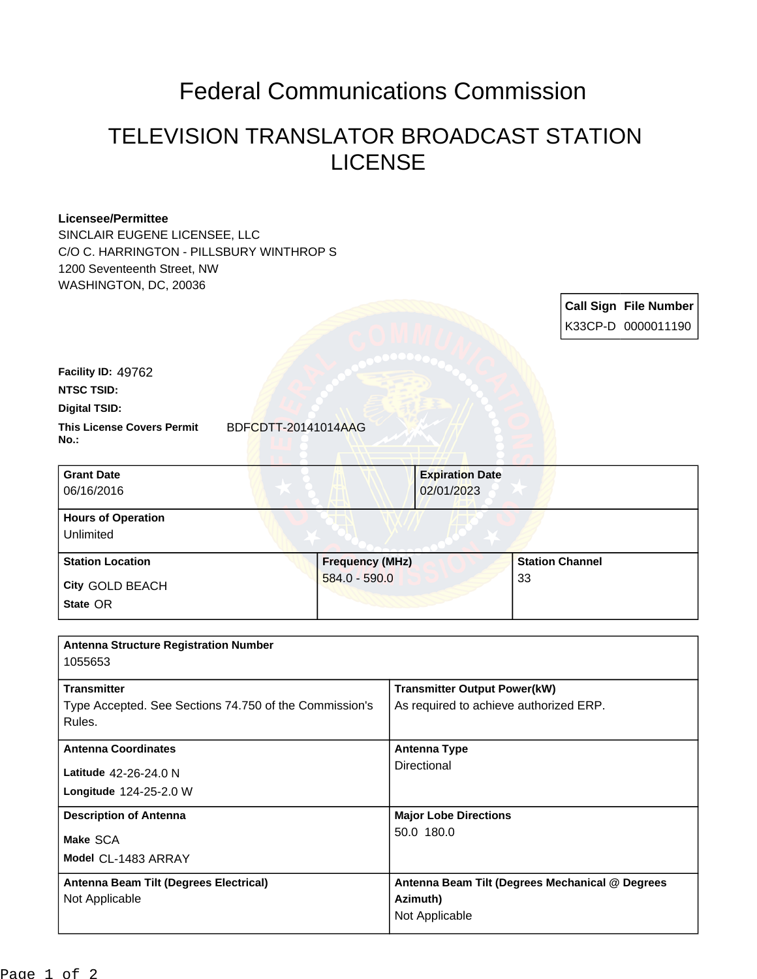## Federal Communications Commission

## TELEVISION TRANSLATOR BROADCAST STATION LICENSE

## **Licensee/Permittee**

SINCLAIR EUGENE LICENSEE, LLC C/O C. HARRINGTON - PILLSBURY WINTHROP S 1200 Seventeenth Street, NW WASHINGTON, DC, 20036

> **Call Sign File Number** K33CP-D 0000011190

| Facility ID: 49762                        |                        |                        |                        |  |
|-------------------------------------------|------------------------|------------------------|------------------------|--|
| <b>NTSC TSID:</b>                         |                        |                        |                        |  |
| <b>Digital TSID:</b>                      |                        |                        |                        |  |
| <b>This License Covers Permit</b><br>No.: | BDFCDTT-20141014AAG    |                        |                        |  |
| <b>Grant Date</b>                         |                        | <b>Expiration Date</b> |                        |  |
| 06/16/2016                                |                        | 02/01/2023             |                        |  |
| <b>Hours of Operation</b>                 |                        |                        |                        |  |
| Unlimited                                 |                        |                        |                        |  |
| <b>Station Location</b>                   | <b>Frequency (MHz)</b> |                        | <b>Station Channel</b> |  |

| <b>Olduvii Lucaliuii</b> | <b>FIGYUGIILY (IVINE)</b> | olaliu |
|--------------------------|---------------------------|--------|
| <b>City GOLD BEACH</b>   | $584.0 - 590.0$           | 33     |
| State OR                 |                           |        |

| <b>Antenna Structure Registration Number</b>                                 |                                                                               |  |  |  |  |
|------------------------------------------------------------------------------|-------------------------------------------------------------------------------|--|--|--|--|
| 1055653                                                                      |                                                                               |  |  |  |  |
| <b>Transmitter</b><br>Type Accepted. See Sections 74.750 of the Commission's | <b>Transmitter Output Power(kW)</b><br>As required to achieve authorized ERP. |  |  |  |  |
| Rules.                                                                       |                                                                               |  |  |  |  |
| <b>Antenna Coordinates</b>                                                   | Antenna Type<br>Directional                                                   |  |  |  |  |
| Latitude 42-26-24.0 N                                                        |                                                                               |  |  |  |  |
| Longitude 124-25-2.0 W                                                       |                                                                               |  |  |  |  |
| <b>Description of Antenna</b>                                                | <b>Major Lobe Directions</b>                                                  |  |  |  |  |
| Make SCA                                                                     | 50.0 180.0                                                                    |  |  |  |  |
| Model CL-1483 ARRAY                                                          |                                                                               |  |  |  |  |
| Antenna Beam Tilt (Degrees Electrical)                                       | Antenna Beam Tilt (Degrees Mechanical @ Degrees                               |  |  |  |  |
| Not Applicable                                                               | Azimuth)                                                                      |  |  |  |  |
|                                                                              | Not Applicable                                                                |  |  |  |  |